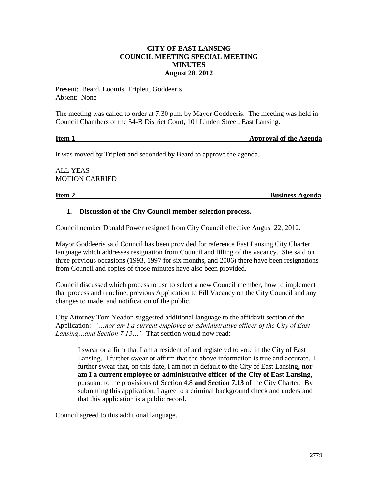## **CITY OF EAST LANSING COUNCIL MEETING SPECIAL MEETING MINUTES August 28, 2012**

Present: Beard, Loomis, Triplett, Goddeeris Absent: None

The meeting was called to order at 7:30 p.m. by Mayor Goddeeris. The meeting was held in Council Chambers of the 54-B District Court, 101 Linden Street, East Lansing.

# **Item 1 Approval of the Agenda**

It was moved by Triplett and seconded by Beard to approve the agenda.

ALL YEAS MOTION CARRIED

**Item 2** Business Agenda

## **1. Discussion of the City Council member selection process.**

Councilmember Donald Power resigned from City Council effective August 22, 2012.

Mayor Goddeeris said Council has been provided for reference East Lansing City Charter language which addresses resignation from Council and filling of the vacancy. She said on three previous occasions (1993, 1997 for six months, and 2006) there have been resignations from Council and copies of those minutes have also been provided.

Council discussed which process to use to select a new Council member, how to implement that process and timeline, previous Application to Fill Vacancy on the City Council and any changes to made, and notification of the public.

City Attorney Tom Yeadon suggested additional language to the affidavit section of the Application: *"…nor am I a current employee or administrative officer of the City of East Lansing…and Section 7.13…"* That section would now read:

I swear or affirm that I am a resident of and registered to vote in the City of East Lansing. I further swear or affirm that the above information is true and accurate. I further swear that, on this date, I am not in default to the City of East Lansing**, nor am I a current employee or administrative officer of the City of East Lansing**, pursuant to the provisions of Section 4.8 **and Section 7.13** of the City Charter. By submitting this application, I agree to a criminal background check and understand that this application is a public record.

Council agreed to this additional language.